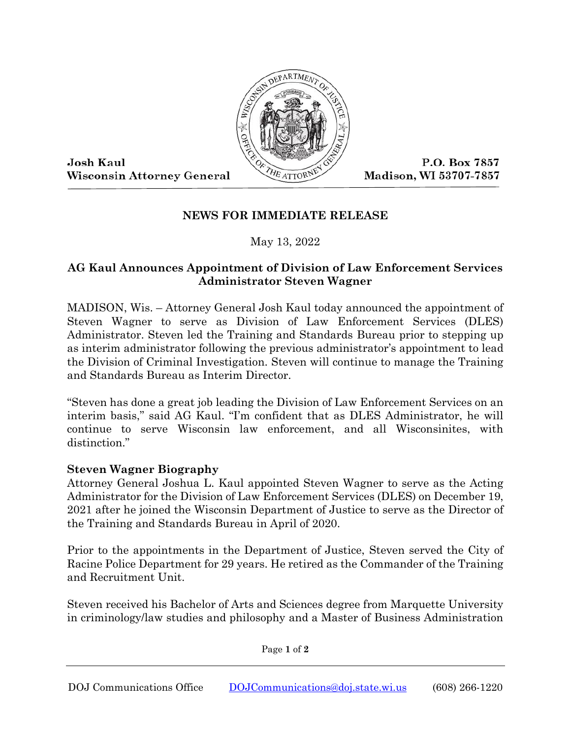

Josh Kaul **Wisconsin Attorney General** 

P.O. Box 7857 Madison, WI 53707-7857

## **NEWS FOR IMMEDIATE RELEASE**

May 13, 2022

## **AG Kaul Announces Appointment of Division of Law Enforcement Services Administrator Steven Wagner**

MADISON, Wis. – Attorney General Josh Kaul today announced the appointment of Steven Wagner to serve as Division of Law Enforcement Services (DLES) Administrator. Steven led the Training and Standards Bureau prior to stepping up as interim administrator following the previous administrator's appointment to lead the Division of Criminal Investigation. Steven will continue to manage the Training and Standards Bureau as Interim Director.

"Steven has done a great job leading the Division of Law Enforcement Services on an interim basis," said AG Kaul. "I'm confident that as DLES Administrator, he will continue to serve Wisconsin law enforcement, and all Wisconsinites, with distinction."

## **Steven Wagner Biography**

Attorney General Joshua L. Kaul appointed Steven Wagner to serve as the Acting Administrator for the Division of Law Enforcement Services (DLES) on December 19, 2021 after he joined the Wisconsin Department of Justice to serve as the Director of the Training and Standards Bureau in April of 2020.

Prior to the appointments in the Department of Justice, Steven served the City of Racine Police Department for 29 years. He retired as the Commander of the Training and Recruitment Unit.

Steven received his Bachelor of Arts and Sciences degree from Marquette University in criminology/law studies and philosophy and a Master of Business Administration

Page **1** of **2**